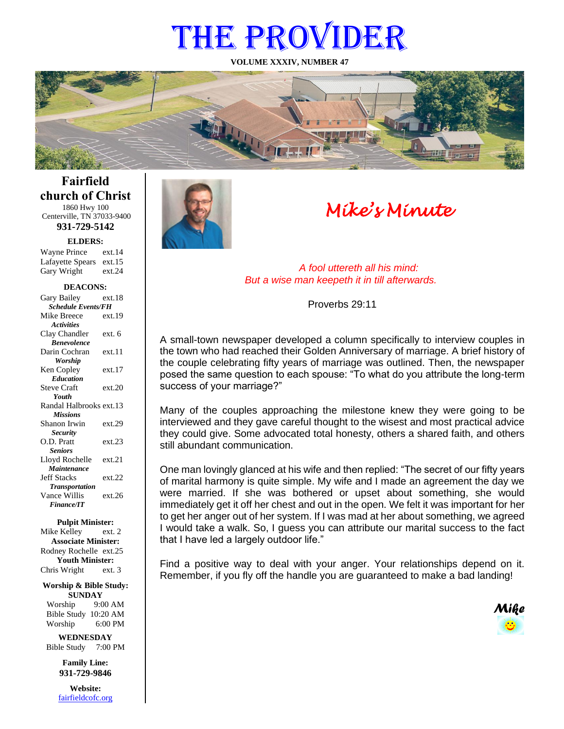# THE PROVIDER

**VOLUME XXXIV, NUMBER 47**



# **Fairfield church of Christ** 1860 Hwy 100

Centerville, TN 37033-9400 **931-729-5142**

**ELDERS:**

Gary Wright ext.24 Wayne Prince ext.14 Lafayette Spears ext.15

#### **DEACONS:**

| Gary Bailey               | ext.18 |  |
|---------------------------|--------|--|
| <b>Schedule Events/FH</b> |        |  |
| Mike Breece               | ext.19 |  |
| <b>Activities</b>         |        |  |
| Clay Chandler             | ext. 6 |  |
| <b>Benevolence</b>        |        |  |
| Darin Cochran             | ext.11 |  |
| Worship                   |        |  |
| Ken Copley                | ext.17 |  |
| <b>Education</b>          |        |  |
| <b>Steve Craft</b>        | ext.20 |  |
| Youth                     |        |  |
| Randal Halbrooks ext.13   |        |  |
| <b>Missions</b>           |        |  |
| Shanon Irwin              | ext.29 |  |
| <b>Security</b>           |        |  |
| O.D. Pratt                | ext.23 |  |
| <b>Seniors</b>            |        |  |
| Lloyd Rochelle            | ext.21 |  |
| Maintenance               |        |  |
| <b>Jeff Stacks</b>        | ext.22 |  |
| <b>Transportation</b>     |        |  |
| Vance Willis              | ext.26 |  |
| <b>Finance/IT</b>         |        |  |

#### **Pulpit Minister:**

Mike Kelley ext. 2 **Associate Minister:** Rodney Rochelle ext.25 **Youth Minister:** Chris Wright ext. 3

**Worship & Bible Study: SUNDAY** Worship 9:00 AM

Bible Study 10:20 AM Worship 6:00 PM

**WEDNESDAY** Bible Study 7:00 PM

> **Family Line: 931-729-9846**

**Website:** [fairfieldcofc.org](file:///C:/Users/RickJoyce/Documents/Fairfield%20Website%20Files/fairfieldchurchofchrist.org)



# *Mike's Minute*

*A fool uttereth all his mind: But a wise man keepeth it in till afterwards.*

Proverbs 29:11

A small-town newspaper developed a column specifically to interview couples in the town who had reached their Golden Anniversary of marriage. A brief history of the couple celebrating fifty years of marriage was outlined. Then, the newspaper posed the same question to each spouse: "To what do you attribute the long-term success of your marriage?"

Many of the couples approaching the milestone knew they were going to be interviewed and they gave careful thought to the wisest and most practical advice they could give. Some advocated total honesty, others a shared faith, and others still abundant communication.

One man lovingly glanced at his wife and then replied: "The secret of our fifty years of marital harmony is quite simple. My wife and I made an agreement the day we were married. If she was bothered or upset about something, she would immediately get it off her chest and out in the open. We felt it was important for her to get her anger out of her system. If I was mad at her about something, we agreed I would take a walk. So, I guess you can attribute our marital success to the fact that I have led a largely outdoor life."

Find a positive way to deal with your anger. Your relationships depend on it. Remember, if you fly off the handle you are guaranteed to make a bad landing!

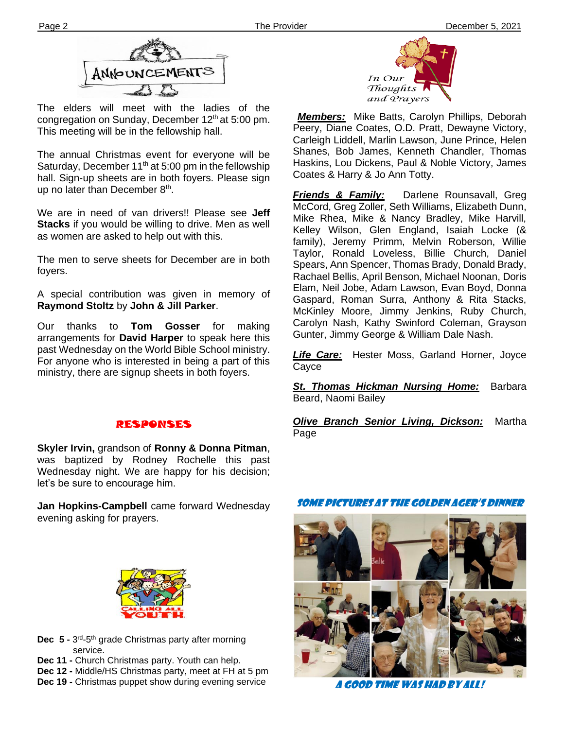

The elders will meet with the ladies of the congregation on Sunday, December 12<sup>th</sup> at 5:00 pm. This meeting will be in the fellowship hall.

up no later than December 8<sup>th</sup>. The annual Christmas event for everyone will be Saturday, December 11<sup>th</sup> at 5:00 pm in the fellowship hall. Sign-up sheets are in both foyers. Please sign

We are in need of van drivers!! Please see **Jeff Stacks** if you would be willing to drive. Men as well as women are asked to help out with this.

The men to serve sheets for December are in both foyers.

A special contribution was given in memory of **Raymond Stoltz** by **John & Jill Parker**.

Our thanks to **Tom Gosser** for making arrangements for **David Harper** to speak here this past Wednesday on the World Bible School ministry. For anyone who is interested in being a part of this ministry, there are signup sheets in both foyers.

# RESPONSES

**Skyler Irvin,** grandson of **Ronny & Donna Pitman**, was baptized by Rodney Rochelle this past Wednesday night. We are happy for his decision; let's be sure to encourage him.

**Jan Hopkins-Campbell** came forward Wednesday evening asking for prayers.



**Dec 5 -** 3<sup>rd</sup>-5<sup>th</sup> grade Christmas party after morning service.

**Dec 11 -** Church Christmas party. Youth can help.

**Dec 12 -** Middle/HS Christmas party, meet at FH at 5 pm

**Dec 19 -** Christmas puppet show during evening service



*Members:* Mike Batts, Carolyn Phillips, Deborah Peery, Diane Coates, O.D. Pratt, Dewayne Victory, Carleigh Liddell, Marlin Lawson, June Prince, Helen Shanes, Bob James, Kenneth Chandler, Thomas Haskins, Lou Dickens, Paul & Noble Victory, James Coates & Harry & Jo Ann Totty.

*Friends & Family:* Darlene Rounsavall, Greg McCord, Greg Zoller, Seth Williams, Elizabeth Dunn, Mike Rhea, Mike & Nancy Bradley, Mike Harvill, Kelley Wilson, Glen England, Isaiah Locke (& family), Jeremy Primm, Melvin Roberson, Willie Taylor, Ronald Loveless, Billie Church, Daniel Spears, Ann Spencer, Thomas Brady, Donald Brady, Rachael Bellis, April Benson, Michael Noonan, Doris Elam, Neil Jobe, Adam Lawson, Evan Boyd, Donna Gaspard, Roman Surra, Anthony & Rita Stacks, McKinley Moore, Jimmy Jenkins, Ruby Church, Carolyn Nash, Kathy Swinford Coleman, Grayson Gunter, Jimmy George & William Dale Nash.

*Life Care:* Hester Moss, Garland Horner, Joyce Cayce

**St. Thomas Hickman Nursing Home:** Barbara Beard, Naomi Bailey

*Olive Branch Senior Living, Dickson:* Martha Page

Some pictures at the golden ager's dinner



A good time was had by all!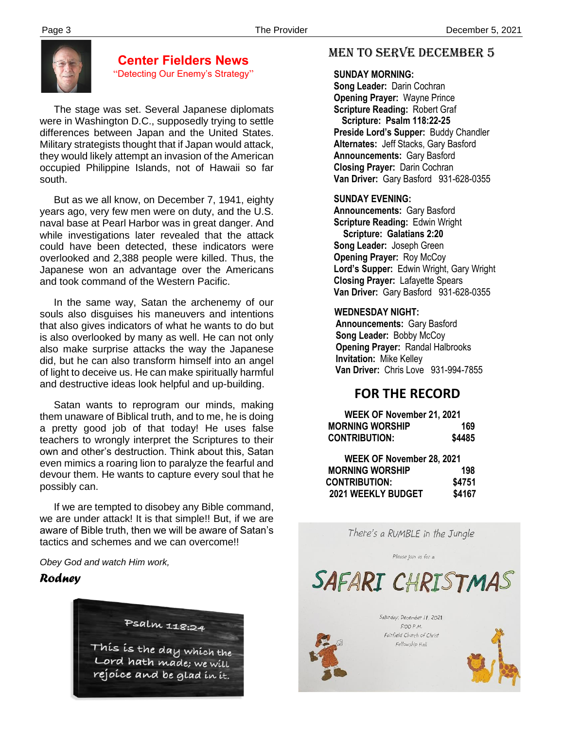

### **Center Fielders News** "Detecting Our Enemy's Strategy"

 The stage was set. Several Japanese diplomats were in Washington D.C., supposedly trying to settle differences between Japan and the United States. Military strategists thought that if Japan would attack, they would likely attempt an invasion of the American occupied Philippine Islands, not of Hawaii so far south.

 But as we all know, on December 7, 1941, eighty years ago, very few men were on duty, and the U.S. naval base at Pearl Harbor was in great danger. And while investigations later revealed that the attack could have been detected, these indicators were overlooked and 2,388 people were killed. Thus, the Japanese won an advantage over the Americans and took command of the Western Pacific.

 In the same way, Satan the archenemy of our souls also disguises his maneuvers and intentions that also gives indicators of what he wants to do but is also overlooked by many as well. He can not only also make surprise attacks the way the Japanese did, but he can also transform himself into an angel of light to deceive us. He can make spiritually harmful and destructive ideas look helpful and up-building.

 Satan wants to reprogram our minds, making them unaware of Biblical truth, and to me, he is doing a pretty good job of that today! He uses false teachers to wrongly interpret the Scriptures to their own and other's destruction. Think about this, Satan even mimics a roaring lion to paralyze the fearful and devour them. He wants to capture every soul that he possibly can.

 we are under attack! It is that simple!! But, if we are If we are tempted to disobey any Bible command, aware of Bible truth, then we will be aware of Satan's tactics and schemes and we can overcome!!

*Obey God and watch Him work,*

# *Rodney*



# MEN TO SERVE december 5

#### **SUNDAY MORNING:**

**Song Leader:** Darin Cochran  **Opening Prayer:** Wayne Prince **Scripture Reading:** Robert Graf  **Scripture: Psalm 118:22-25 Preside Lord's Supper:** Buddy Chandler  **Alternates:** Jeff Stacks, Gary Basford  **Announcements:** Gary Basford  **Closing Prayer:** Darin Cochran **Van Driver:** Gary Basford 931-628-0355

### **SUNDAY EVENING:**

**Announcements:** Gary Basford **Scripture Reading:** Edwin Wright  **Scripture: Galatians 2:20 Song Leader:** Joseph Green **Opening Prayer:** Roy McCoy **Lord's Supper:** Edwin Wright, Gary Wright **Closing Prayer:** Lafayette Spears **Van Driver:** Gary Basford 931-628-0355

#### **WEDNESDAY NIGHT:**

**Announcements:** Gary Basford **Song Leader:** Bobby McCoy **Opening Prayer:** Randal Halbrooks **Invitation:** Mike Kelley  **Van Driver:** Chris Love 931-994-7855

# **FOR THE RECORD**

| WEEK OF November 21, 2021 |        |
|---------------------------|--------|
| <b>MORNING WORSHIP</b>    | 169    |
| <b>CONTRIBUTION:</b>      | \$4485 |
| WEEK OF November 28, 2021 |        |
| <b>MORNING WORSHIP</b>    | 198    |
| <b>CONTRIBUTION:</b>      | \$4751 |
| 2021 WEEKLY BUDGET        | \$4167 |

There's a RUMBLE in the Jungle

Please join us for a

SAFARI CHRISTMAS



Saturday, December 11, 2021  $5:OOP.M.$ Fairfield Church of Christ Fellowship Hall